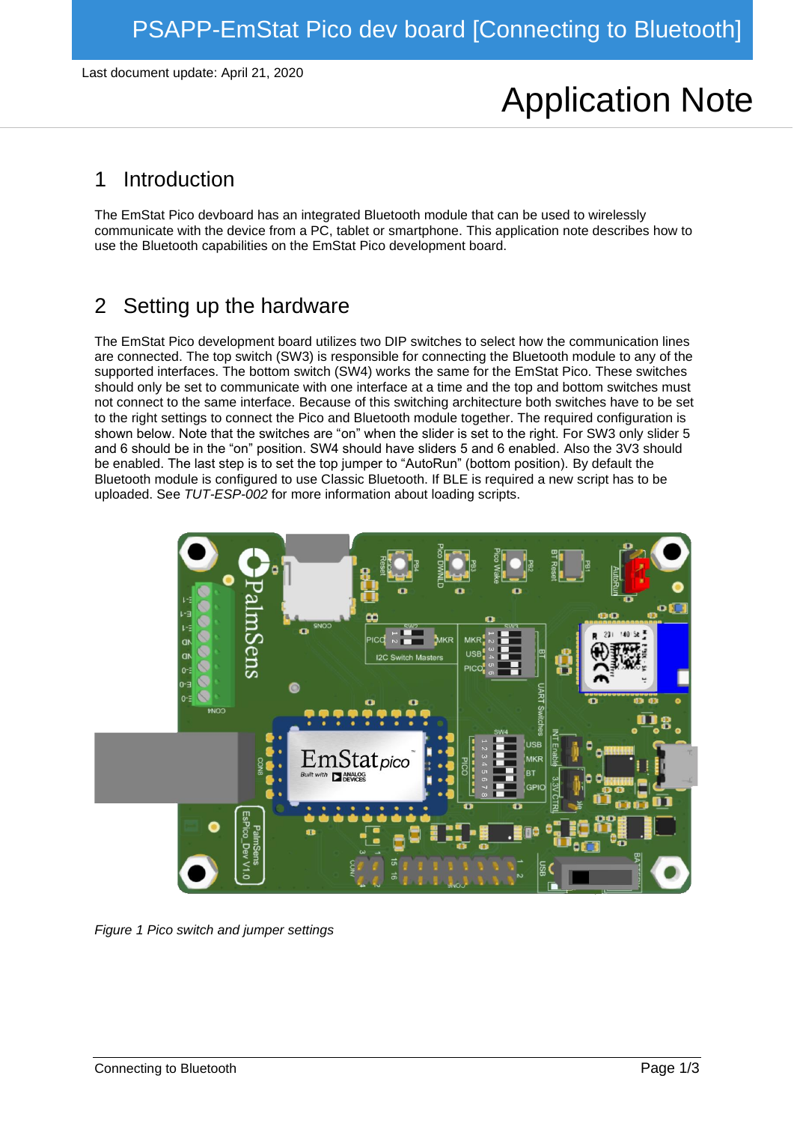Last document update: April 21, 2020

# Application Note

### 1 Introduction

The EmStat Pico devboard has an integrated Bluetooth module that can be used to wirelessly communicate with the device from a PC, tablet or smartphone. This application note describes how to use the Bluetooth capabilities on the EmStat Pico development board.

## 2 Setting up the hardware

The EmStat Pico development board utilizes two DIP switches to select how the communication lines are connected. The top switch (SW3) is responsible for connecting the Bluetooth module to any of the supported interfaces. The bottom switch (SW4) works the same for the EmStat Pico. These switches should only be set to communicate with one interface at a time and the top and bottom switches must not connect to the same interface. Because of this switching architecture both switches have to be set to the right settings to connect the Pico and Bluetooth module together. The required configuration is shown below. Note that the switches are "on" when the slider is set to the right. For SW3 only slider 5 and 6 should be in the "on" position. SW4 should have sliders 5 and 6 enabled. Also the 3V3 should be enabled. The last step is to set the top jumper to "AutoRun" (bottom position). By default the Bluetooth module is configured to use Classic Bluetooth. If BLE is required a new script has to be uploaded. See *TUT-ESP-002* for more information about loading scripts.



*Figure 1 Pico switch and jumper settings*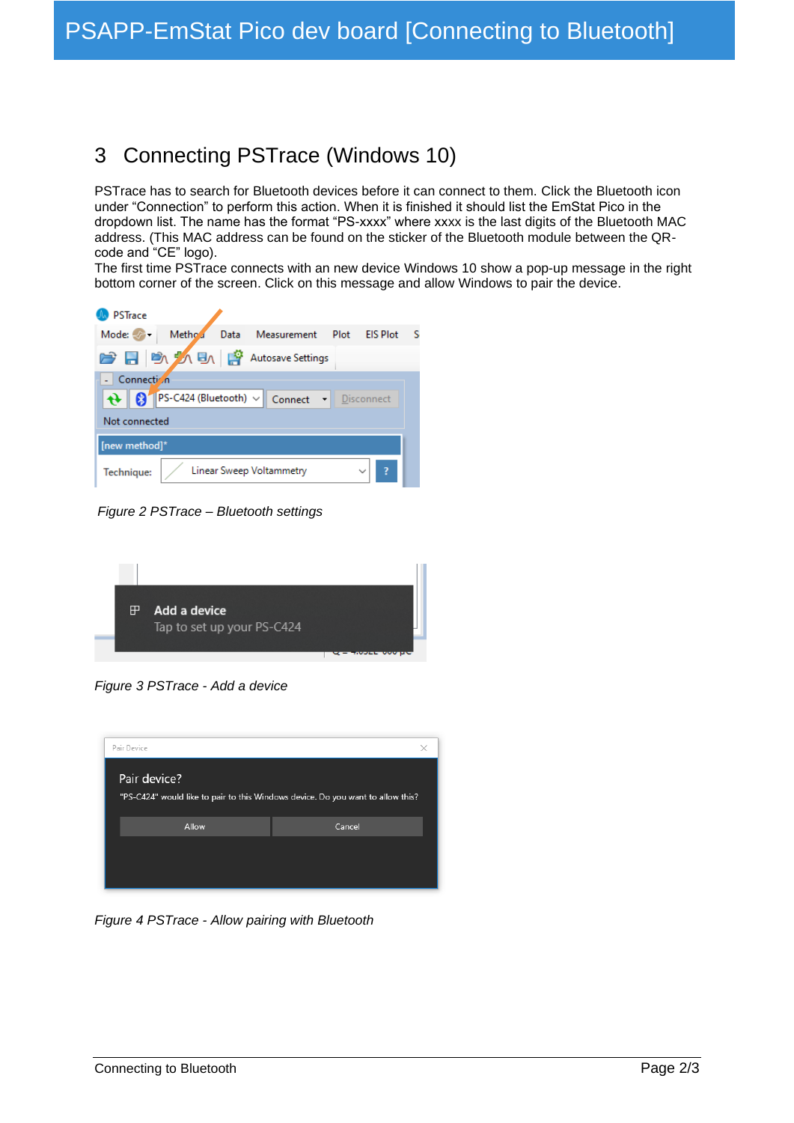### 3 Connecting PSTrace (Windows 10)

PSTrace has to search for Bluetooth devices before it can connect to them. Click the Bluetooth icon under "Connection" to perform this action. When it is finished it should list the EmStat Pico in the dropdown list. The name has the format "PS-xxxx" where xxxx is the last digits of the Bluetooth MAC address. (This MAC address can be found on the sticker of the Bluetooth module between the QRcode and "CE" logo).

The first time PSTrace connects with an new device Windows 10 show a pop-up message in the right bottom corner of the screen. Click on this message and allow Windows to pair the device.



*Figure 2 PSTrace – Bluetooth settings*



*Figure 3 PSTrace - Add a device*



*Figure 4 PSTrace - Allow pairing with Bluetooth*